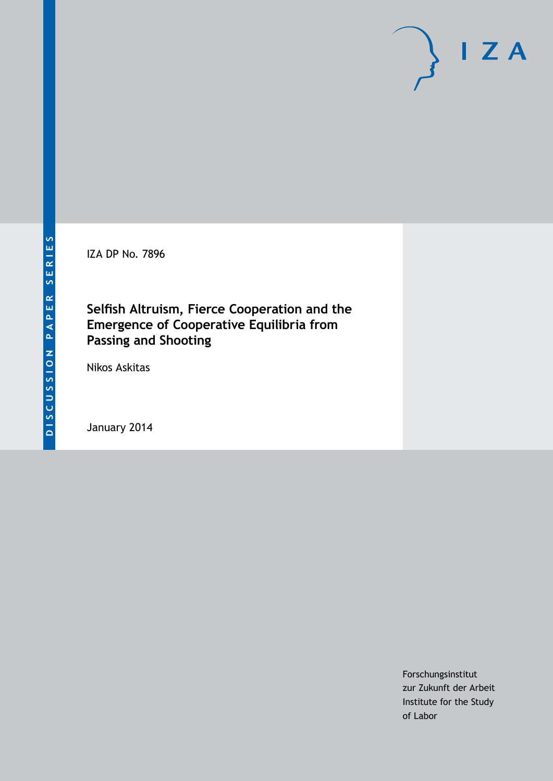IZA DP No. 7896

### **Selfish Altruism, Fierce Cooperation and the Emergence of Cooperative Equilibria from Passing and Shooting**

Nikos Askitas

January 2014

Forschungsinstitut zur Zukunft der Arbeit Institute for the Study of Labor

 $I Z A$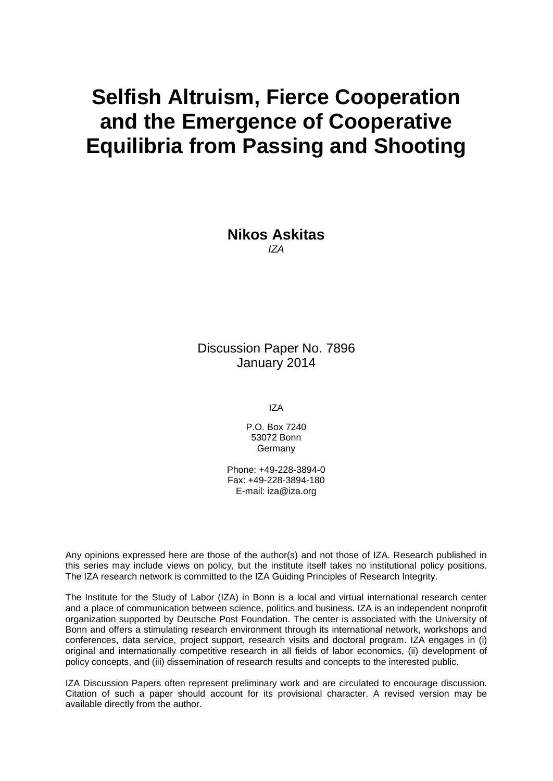# **Selfish Altruism, Fierce Cooperation and the Emergence of Cooperative Equilibria from Passing and Shooting**

**Nikos Askitas** *IZA*

Discussion Paper No. 7896 January 2014

IZA

P.O. Box 7240 53072 Bonn Germany

Phone: +49-228-3894-0 Fax: +49-228-3894-180 E-mail: [iza@iza.org](mailto:iza@iza.org)

Any opinions expressed here are those of the author(s) and not those of IZA. Research published in this series may include views on policy, but the institute itself takes no institutional policy positions. The IZA research network is committed to the IZA Guiding Principles of Research Integrity.

The Institute for the Study of Labor (IZA) in Bonn is a local and virtual international research center and a place of communication between science, politics and business. IZA is an independent nonprofit organization supported by Deutsche Post Foundation. The center is associated with the University of Bonn and offers a stimulating research environment through its international network, workshops and conferences, data service, project support, research visits and doctoral program. IZA engages in (i) original and internationally competitive research in all fields of labor economics, (ii) development of policy concepts, and (iii) dissemination of research results and concepts to the interested public.

<span id="page-1-0"></span>IZA Discussion Papers often represent preliminary work and are circulated to encourage discussion. Citation of such a paper should account for its provisional character. A revised version may be available directly from the author.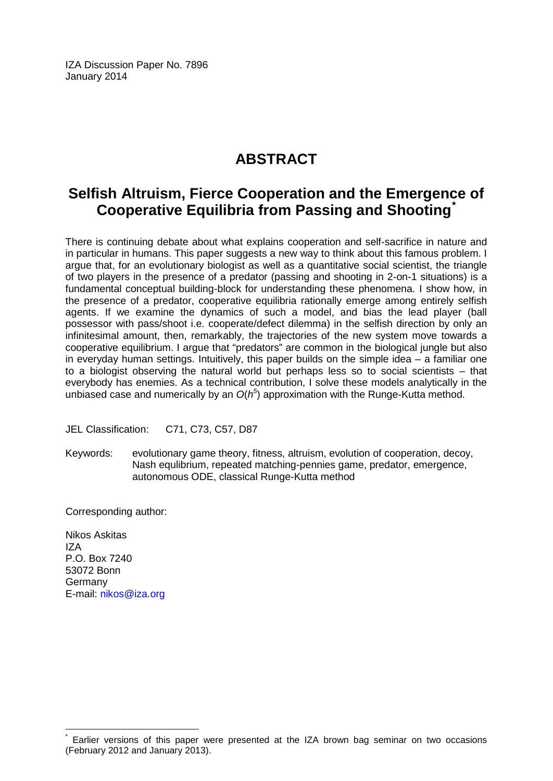IZA Discussion Paper No. 7896 January 2014

## **ABSTRACT**

### **Selfish Altruism, Fierce Cooperation and the Emergence of Cooperative Equilibria from Passing and Shooting[\\*](#page-1-0)**

There is continuing debate about what explains cooperation and self-sacrifice in nature and in particular in humans. This paper suggests a new way to think about this famous problem. I argue that, for an evolutionary biologist as well as a quantitative social scientist, the triangle of two players in the presence of a predator (passing and shooting in 2-on-1 situations) is a fundamental conceptual building-block for understanding these phenomena. I show how, in the presence of a predator, cooperative equilibria rationally emerge among entirely selfish agents. If we examine the dynamics of such a model, and bias the lead player (ball possessor with pass/shoot i.e. cooperate/defect dilemma) in the selfish direction by only an infinitesimal amount, then, remarkably, the trajectories of the new system move towards a cooperative equilibrium. I argue that "predators" are common in the biological jungle but also in everyday human settings. Intuitively, this paper builds on the simple idea – a familiar one to a biologist observing the natural world but perhaps less so to social scientists – that everybody has enemies. As a technical contribution, I solve these models analytically in the unbiased case and numerically by an  $O(h^5)$  approximation with the Runge-Kutta method.

JEL Classification: C71, C73, C57, D87

Keywords: evolutionary game theory, fitness, altruism, evolution of cooperation, decoy, Nash equlibrium, repeated matching-pennies game, predator, emergence, autonomous ODE, classical Runge-Kutta method

Corresponding author:

Nikos Askitas IZA P.O. Box 7240 53072 Bonn Germany E-mail: [nikos@iza.org](mailto:nikos@iza.org)

Earlier versions of this paper were presented at the IZA brown bag seminar on two occasions (February 2012 and January 2013).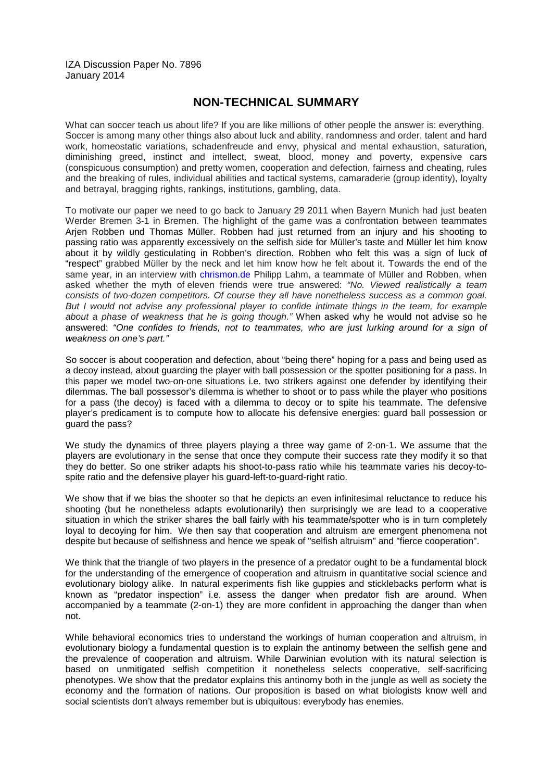IZA Discussion Paper No. 7896 January 2014

### **NON-TECHNICAL SUMMARY**

What can soccer teach us about life? If you are like millions of other people the answer is: everything. Soccer is among many other things also about luck and ability, randomness and order, talent and hard work, homeostatic variations, schadenfreude and envy, physical and mental exhaustion, saturation, diminishing greed, instinct and intellect, sweat, blood, money and poverty, expensive cars (conspicuous consumption) and pretty women, cooperation and defection, fairness and cheating, rules and the breaking of rules, individual abilities and tactical systems, camaraderie (group identity), loyalty and betrayal, bragging rights, rankings, institutions, gambling, data.

To motivate our paper we need to go back to January 29 2011 when Bayern Munich had just beaten Werder Bremen 3-1 in Bremen. The highlight of the game was a confrontation between teammates Arjen Robben und Thomas Müller. Robben had just returned from an injury and his shooting to passing ratio was apparently excessively on the selfish side for Müller's taste and Müller let him know about it by wildly gesticulating in Robben's direction. Robben who felt this was a sign of luck of "respect" grabbed Müller by the neck and let him know how he felt about it. Towards the end of the same year, in an interview with [chrismon.de](http://chrismon.evangelisch.de/artikel/2011/talent-haben-wir-philipp-lahm-und-olli-dittrich-ueber-begabungen-12381) Philipp Lahm, a teammate of Müller and Robben, when asked whether the myth of eleven friends were true answered: *"No. Viewed realistically a team consists of two-dozen competitors. Of course they all have nonetheless success as a common goal. But I would not advise any professional player to confide intimate things in the team, for example about a phase of weakness that he is going though."* When asked why he would not advise so he answered: *"One confides to friends, not to teammates, who are just lurking around for a sign of weakness on one's part."*

So soccer is about cooperation and defection, about "being there" hoping for a pass and being used as a decoy instead, about guarding the player with ball possession or the spotter positioning for a pass. In this paper we model two-on-one situations i.e. two strikers against one defender by identifying their dilemmas. The ball possessor's dilemma is whether to shoot or to pass while the player who positions for a pass (the decoy) is faced with a dilemma to decoy or to spite his teammate. The defensive player's predicament is to compute how to allocate his defensive energies: guard ball possession or guard the pass?

We study the dynamics of three players playing a three way game of 2-on-1. We assume that the players are evolutionary in the sense that once they compute their success rate they modify it so that they do better. So one striker adapts his shoot-to-pass ratio while his teammate varies his decoy-tospite ratio and the defensive player his guard-left-to-guard-right ratio.

We show that if we bias the shooter so that he depicts an even infinitesimal reluctance to reduce his shooting (but he nonetheless adapts evolutionarily) then surprisingly we are lead to a cooperative situation in which the striker shares the ball fairly with his teammate/spotter who is in turn completely loyal to decoying for him. We then say that cooperation and altruism are emergent phenomena not despite but because of selfishness and hence we speak of "selfish altruism" and "fierce cooperation".

We think that the triangle of two players in the presence of a predator ought to be a fundamental block for the understanding of the emergence of cooperation and altruism in quantitative social science and evolutionary biology alike. In natural experiments fish like guppies and sticklebacks perform what is known as "predator inspection" i.e. assess the danger when predator fish are around. When accompanied by a teammate (2-on-1) they are more confident in approaching the danger than when not.

While behavioral economics tries to understand the workings of human cooperation and altruism, in evolutionary biology a fundamental question is to explain the antinomy between the selfish gene and the prevalence of cooperation and altruism. While Darwinian evolution with its natural selection is based on unmitigated selfish competition it nonetheless selects cooperative, self-sacrificing phenotypes. We show that the predator explains this antinomy both in the jungle as well as society the economy and the formation of nations. Our proposition is based on what biologists know well and social scientists don't always remember but is ubiquitous: everybody has enemies.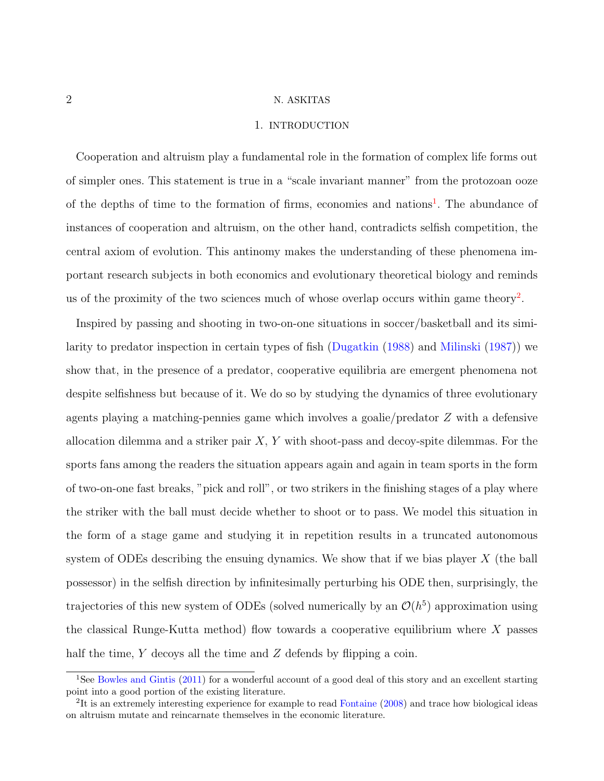#### 1. INTRODUCTION

Cooperation and altruism play a fundamental role in the formation of complex life forms out of simpler ones. This statement is true in a "scale invariant manner" from the protozoan ooze of the depths of time to the formation of firms, economies and nations<sup>[1](#page-4-0)</sup>. The abundance of instances of cooperation and altruism, on the other hand, contradicts selfish competition, the central axiom of evolution. This antinomy makes the understanding of these phenomena important research subjects in both economics and evolutionary theoretical biology and reminds us of the proximity of the two sciences much of whose overlap occurs within game theory<sup>[2](#page-4-1)</sup>.

Inspired by passing and shooting in two-on-one situations in soccer/basketball and its similarity to predator inspection in certain types of fish [\(Dugatkin](#page-19-0) [\(1988\)](#page-19-0) and [Milinski](#page-19-1) [\(1987\)](#page-19-1)) we show that, in the presence of a predator, cooperative equilibria are emergent phenomena not despite selfishness but because of it. We do so by studying the dynamics of three evolutionary agents playing a matching-pennies game which involves a goalie/predator Z with a defensive allocation dilemma and a striker pair  $X$ ,  $Y$  with shoot-pass and decoy-spite dilemmas. For the sports fans among the readers the situation appears again and again in team sports in the form of two-on-one fast breaks, "pick and roll", or two strikers in the finishing stages of a play where the striker with the ball must decide whether to shoot or to pass. We model this situation in the form of a stage game and studying it in repetition results in a truncated autonomous system of ODEs describing the ensuing dynamics. We show that if we bias player X (the ball possessor) in the selfish direction by infinitesimally perturbing his ODE then, surprisingly, the trajectories of this new system of ODEs (solved numerically by an  $\mathcal{O}(h^5)$ ) approximation using the classical Runge-Kutta method) flow towards a cooperative equilibrium where X passes half the time,  $Y$  decoys all the time and  $Z$  defends by flipping a coin.

<span id="page-4-0"></span><sup>&</sup>lt;sup>1</sup>See [Bowles and Gintis](#page-18-0) [\(2011\)](#page-18-0) for a wonderful account of a good deal of this story and an excellent starting point into a good portion of the existing literature.

<span id="page-4-1"></span><sup>&</sup>lt;sup>2</sup>It is an extremely interesting experience for example to read [Fontaine](#page-19-2) [\(2008\)](#page-19-2) and trace how biological ideas on altruism mutate and reincarnate themselves in the economic literature.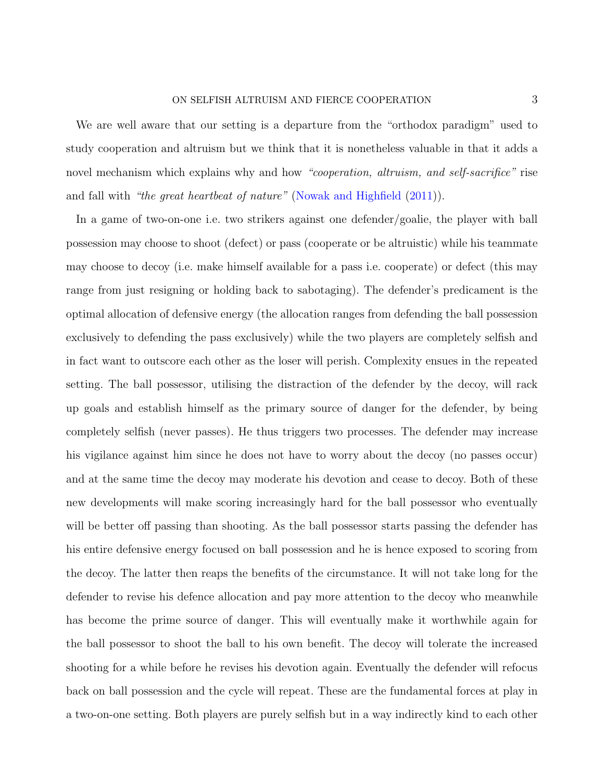We are well aware that our setting is a departure from the "orthodox paradigm" used to study cooperation and altruism but we think that it is nonetheless valuable in that it adds a novel mechanism which explains why and how "cooperation, altruism, and self-sacrifice" rise and fall with "the great heartbeat of nature" [\(Nowak and Highfield](#page-19-3) [\(2011\)](#page-19-3)).

In a game of two-on-one i.e. two strikers against one defender/goalie, the player with ball possession may choose to shoot (defect) or pass (cooperate or be altruistic) while his teammate may choose to decoy (i.e. make himself available for a pass i.e. cooperate) or defect (this may range from just resigning or holding back to sabotaging). The defender's predicament is the optimal allocation of defensive energy (the allocation ranges from defending the ball possession exclusively to defending the pass exclusively) while the two players are completely selfish and in fact want to outscore each other as the loser will perish. Complexity ensues in the repeated setting. The ball possessor, utilising the distraction of the defender by the decoy, will rack up goals and establish himself as the primary source of danger for the defender, by being completely selfish (never passes). He thus triggers two processes. The defender may increase his vigilance against him since he does not have to worry about the decoy (no passes occur) and at the same time the decoy may moderate his devotion and cease to decoy. Both of these new developments will make scoring increasingly hard for the ball possessor who eventually will be better off passing than shooting. As the ball possessor starts passing the defender has his entire defensive energy focused on ball possession and he is hence exposed to scoring from the decoy. The latter then reaps the benefits of the circumstance. It will not take long for the defender to revise his defence allocation and pay more attention to the decoy who meanwhile has become the prime source of danger. This will eventually make it worthwhile again for the ball possessor to shoot the ball to his own benefit. The decoy will tolerate the increased shooting for a while before he revises his devotion again. Eventually the defender will refocus back on ball possession and the cycle will repeat. These are the fundamental forces at play in a two-on-one setting. Both players are purely selfish but in a way indirectly kind to each other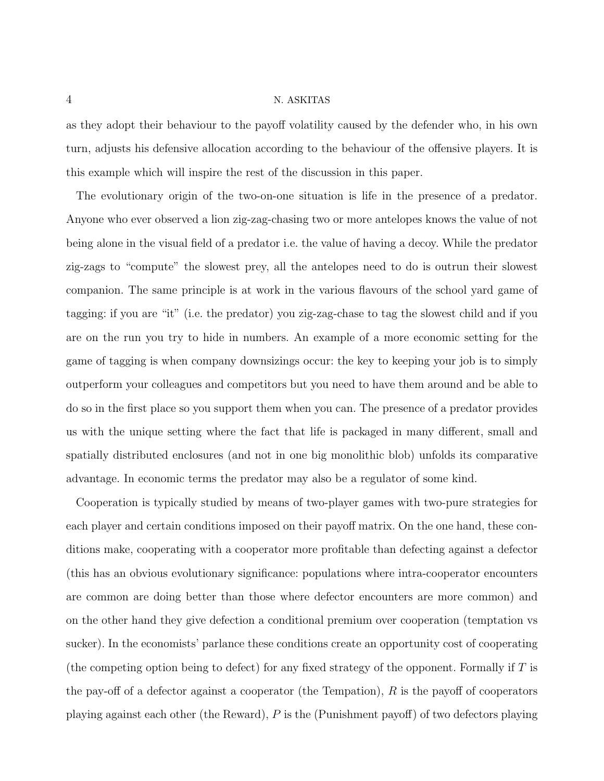as they adopt their behaviour to the payoff volatility caused by the defender who, in his own turn, adjusts his defensive allocation according to the behaviour of the offensive players. It is this example which will inspire the rest of the discussion in this paper.

The evolutionary origin of the two-on-one situation is life in the presence of a predator. Anyone who ever observed a lion zig-zag-chasing two or more antelopes knows the value of not being alone in the visual field of a predator i.e. the value of having a decoy. While the predator zig-zags to "compute" the slowest prey, all the antelopes need to do is outrun their slowest companion. The same principle is at work in the various flavours of the school yard game of tagging: if you are "it" (i.e. the predator) you zig-zag-chase to tag the slowest child and if you are on the run you try to hide in numbers. An example of a more economic setting for the game of tagging is when company downsizings occur: the key to keeping your job is to simply outperform your colleagues and competitors but you need to have them around and be able to do so in the first place so you support them when you can. The presence of a predator provides us with the unique setting where the fact that life is packaged in many different, small and spatially distributed enclosures (and not in one big monolithic blob) unfolds its comparative advantage. In economic terms the predator may also be a regulator of some kind.

Cooperation is typically studied by means of two-player games with two-pure strategies for each player and certain conditions imposed on their payoff matrix. On the one hand, these conditions make, cooperating with a cooperator more profitable than defecting against a defector (this has an obvious evolutionary significance: populations where intra-cooperator encounters are common are doing better than those where defector encounters are more common) and on the other hand they give defection a conditional premium over cooperation (temptation vs sucker). In the economists' parlance these conditions create an opportunity cost of cooperating (the competing option being to defect) for any fixed strategy of the opponent. Formally if  $T$  is the pay-off of a defector against a cooperator (the Tempation),  $R$  is the payoff of cooperators playing against each other (the Reward),  $P$  is the (Punishment payoff) of two defectors playing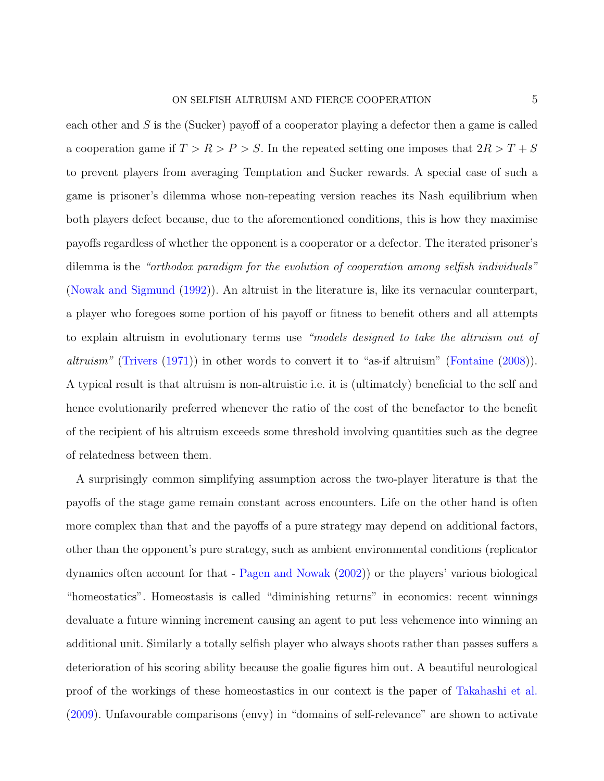each other and  $S$  is the (Sucker) payoff of a cooperator playing a defector then a game is called a cooperation game if  $T > R > P > S$ . In the repeated setting one imposes that  $2R > T + S$ to prevent players from averaging Temptation and Sucker rewards. A special case of such a game is prisoner's dilemma whose non-repeating version reaches its Nash equilibrium when both players defect because, due to the aforementioned conditions, this is how they maximise payoffs regardless of whether the opponent is a cooperator or a defector. The iterated prisoner's dilemma is the "orthodox paradigm for the evolution of cooperation among selfish individuals" [\(Nowak and Sigmund](#page-19-4) [\(1992\)](#page-19-4)). An altruist in the literature is, like its vernacular counterpart, a player who foregoes some portion of his payoff or fitness to benefit others and all attempts to explain altruism in evolutionary terms use "models designed to take the altruism out of altruism" [\(Trivers](#page-19-5) [\(1971\)](#page-19-5)) in other words to convert it to "as-if altruism" [\(Fontaine](#page-19-2) [\(2008\)](#page-19-2)). A typical result is that altruism is non-altruistic i.e. it is (ultimately) beneficial to the self and hence evolutionarily preferred whenever the ratio of the cost of the benefactor to the benefit of the recipient of his altruism exceeds some threshold involving quantities such as the degree of relatedness between them.

A surprisingly common simplifying assumption across the two-player literature is that the payoffs of the stage game remain constant across encounters. Life on the other hand is often more complex than that and the payoffs of a pure strategy may depend on additional factors, other than the opponent's pure strategy, such as ambient environmental conditions (replicator dynamics often account for that - [Pagen and Nowak](#page-19-6) [\(2002\)](#page-19-6)) or the players' various biological "homeostatics". Homeostasis is called "diminishing returns" in economics: recent winnings devaluate a future winning increment causing an agent to put less vehemence into winning an additional unit. Similarly a totally selfish player who always shoots rather than passes suffers a deterioration of his scoring ability because the goalie figures him out. A beautiful neurological proof of the workings of these homeostastics in our context is the paper of [Takahashi et al.](#page-19-7) [\(2009\)](#page-19-7). Unfavourable comparisons (envy) in "domains of self-relevance" are shown to activate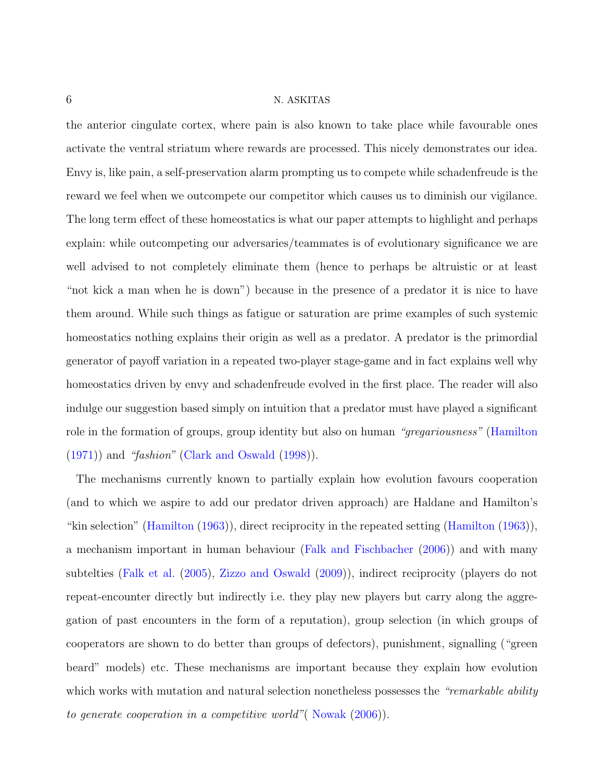the anterior cingulate cortex, where pain is also known to take place while favourable ones activate the ventral striatum where rewards are processed. This nicely demonstrates our idea. Envy is, like pain, a self-preservation alarm prompting us to compete while schadenfreude is the reward we feel when we outcompete our competitor which causes us to diminish our vigilance. The long term effect of these homeostatics is what our paper attempts to highlight and perhaps explain: while outcompeting our adversaries/teammates is of evolutionary significance we are well advised to not completely eliminate them (hence to perhaps be altruistic or at least "not kick a man when he is down") because in the presence of a predator it is nice to have them around. While such things as fatigue or saturation are prime examples of such systemic homeostatics nothing explains their origin as well as a predator. A predator is the primordial generator of payoff variation in a repeated two-player stage-game and in fact explains well why homeostatics driven by envy and schadenfreude evolved in the first place. The reader will also indulge our suggestion based simply on intuition that a predator must have played a significant role in the formation of groups, group identity but also on human "gregariousness" [\(Hamilton](#page-19-8)  $(1971)$  and "fashion" [\(Clark and Oswald](#page-18-1)  $(1998)$ ).

The mechanisms currently known to partially explain how evolution favours cooperation (and to which we aspire to add our predator driven approach) are Haldane and Hamilton's "kin selection" [\(Hamilton](#page-19-9) [\(1963\)](#page-19-9)), direct reciprocity in the repeated setting [\(Hamilton](#page-19-9) [\(1963\)](#page-19-9)), a mechanism important in human behaviour [\(Falk and Fischbacher](#page-19-10) [\(2006\)](#page-19-10)) and with many subtelties [\(Falk et al.](#page-19-11) [\(2005\)](#page-19-11), [Zizzo and Oswald](#page-19-12) [\(2009\)](#page-19-12)), indirect reciprocity (players do not repeat-encounter directly but indirectly i.e. they play new players but carry along the aggregation of past encounters in the form of a reputation), group selection (in which groups of cooperators are shown to do better than groups of defectors), punishment, signalling ("green beard" models) etc. These mechanisms are important because they explain how evolution which works with mutation and natural selection nonetheless possesses the "remarkable ability" to generate cooperation in a competitive world"( [Nowak](#page-19-13) [\(2006\)](#page-19-13)).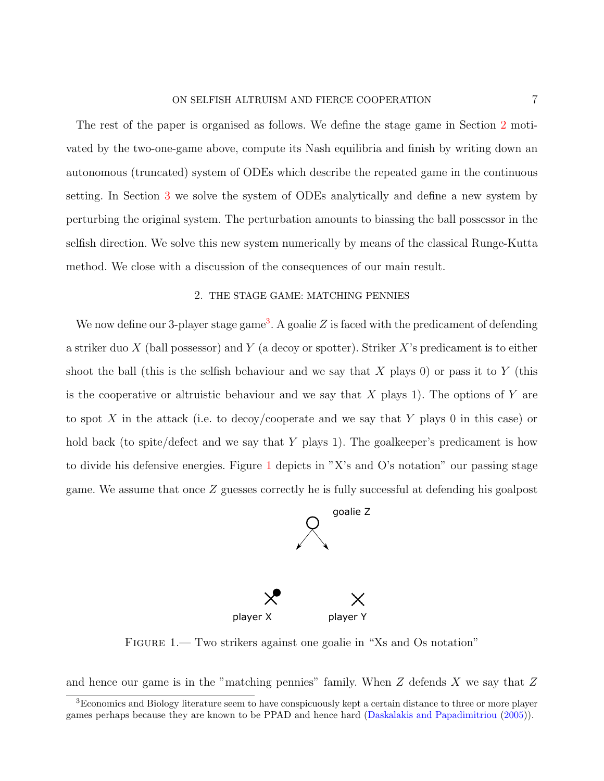The rest of the paper is organised as follows. We define the stage game in Section [2](#page-9-0) motivated by the two-one-game above, compute its Nash equilibria and finish by writing down an autonomous (truncated) system of ODEs which describe the repeated game in the continuous setting. In Section [3](#page-12-0) we solve the system of ODEs analytically and define a new system by perturbing the original system. The perturbation amounts to biassing the ball possessor in the selfish direction. We solve this new system numerically by means of the classical Runge-Kutta method. We close with a discussion of the consequences of our main result.

#### 2. THE STAGE GAME: MATCHING PENNIES

<span id="page-9-0"></span>We now define our [3](#page-9-1)-player stage game<sup>3</sup>. A goalie  $Z$  is faced with the predicament of defending a striker duo X (ball possessor) and Y (a decoy or spotter). Striker X's predicament is to either shoot the ball (this is the selfish behaviour and we say that X plays 0) or pass it to Y (this is the cooperative or altruistic behaviour and we say that  $X$  plays 1). The options of  $Y$  are to spot X in the attack (i.e. to decoy/cooperate and we say that Y plays 0 in this case) or hold back (to spite/defect and we say that Y plays 1). The goal keeper's predicament is how to divide his defensive energies. Figure  $1$  depicts in "X's and O's notation" our passing stage game. We assume that once  $Z$  guesses correctly he is fully successful at defending his goalpost



<span id="page-9-2"></span>FIGURE 1.— Two strikers against one goalie in "Xs and Os notation"

and hence our game is in the "matching pennies" family. When  $Z$  defends  $X$  we say that  $Z$ 

<span id="page-9-1"></span><sup>3</sup>Economics and Biology literature seem to have conspicuously kept a certain distance to three or more player games perhaps because they are known to be PPAD and hence hard [\(Daskalakis and Papadimitriou](#page-18-2) [\(2005\)](#page-18-2)).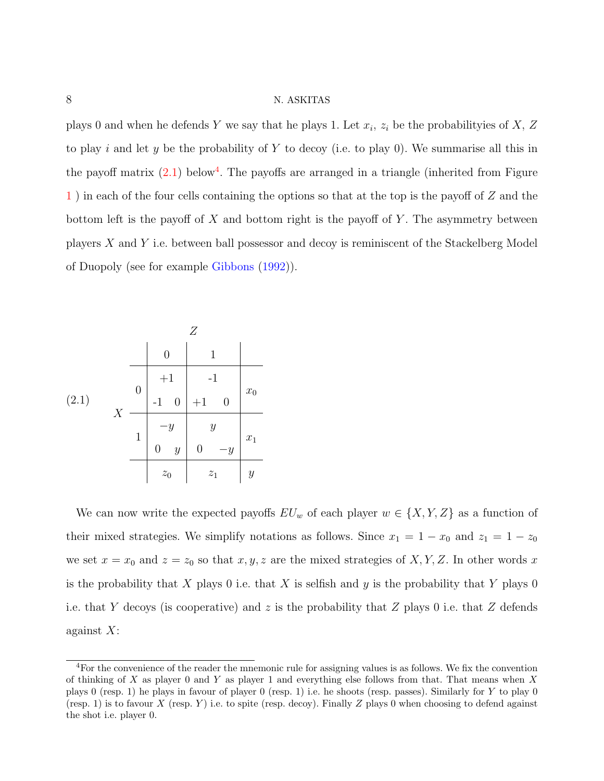plays 0 and when he defends Y we say that he plays 1. Let  $x_i$ ,  $z_i$  be the probabilityies of X, Z to play i and let y be the probability of Y to decoy (i.e. to play 0). We summarise all this in the payoff matrix  $(2.1)$  below<sup>[4](#page-10-1)</sup>. The payoffs are arranged in a triangle (inherited from Figure [1](#page-9-2) ) in each of the four cells containing the options so that at the top is the payoff of Z and the bottom left is the payoff of X and bottom right is the payoff of Y. The asymmetry between players  $X$  and  $Y$  i.e. between ball possessor and decoy is reminiscent of the Stackelberg Model of Duopoly (see for example [Gibbons](#page-19-14) [\(1992\)](#page-19-14)).

<span id="page-10-0"></span>

We can now write the expected payoffs  $EU_w$  of each player  $w \in \{X, Y, Z\}$  as a function of their mixed strategies. We simplify notations as follows. Since  $x_1 = 1 - x_0$  and  $z_1 = 1 - z_0$ we set  $x = x_0$  and  $z = z_0$  so that  $x, y, z$  are the mixed strategies of X, Y, Z. In other words x is the probability that X plays 0 i.e. that X is selfish and y is the probability that Y plays 0 i.e. that Y decoys (is cooperative) and z is the probability that Z plays 0 i.e. that Z defends against  $X$ :

<span id="page-10-1"></span><sup>4</sup>For the convenience of the reader the mnemonic rule for assigning values is as follows. We fix the convention of thinking of X as player 0 and Y as player 1 and everything else follows from that. That means when  $X$ plays 0 (resp. 1) he plays in favour of player 0 (resp. 1) i.e. he shoots (resp. passes). Similarly for Y to play 0 (resp. 1) is to favour X (resp. Y) i.e. to spite (resp. decoy). Finally Z plays 0 when choosing to defend against the shot i.e. player 0.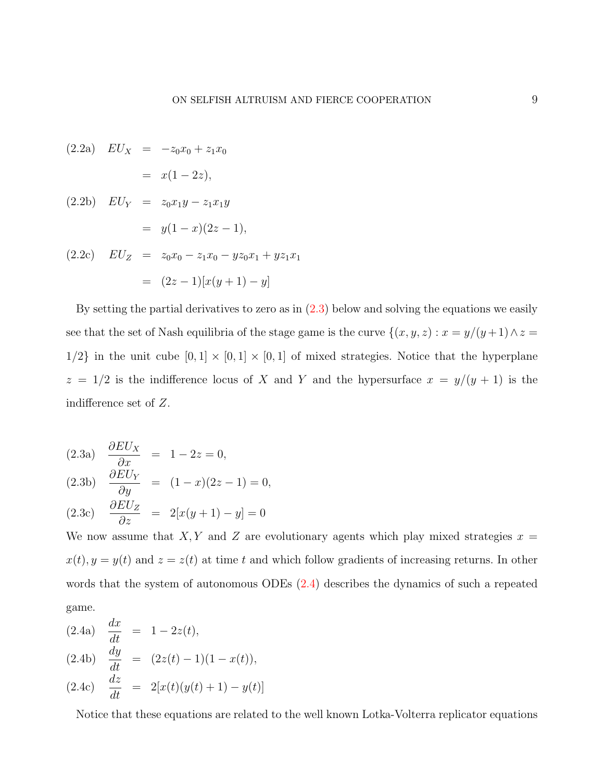(2.2a) 
$$
EU_X = -z_0x_0 + z_1x_0
$$
  
\t\t\t\t $= x(1 - 2z),$   
\n(2.2b)  $EU_Y = z_0x_1y - z_1x_1y$   
\t\t\t\t $= y(1 - x)(2z - 1),$   
\n(2.2c)  $EU_Z = z_0x_0 - z_1x_0 - yz_0x_1 + yz_1x_1$   
\t\t\t\t $= (2z - 1)[x(y + 1) - y]$ 

By setting the partial derivatives to zero as in [\(2.3\)](#page-11-0) below and solving the equations we easily see that the set of Nash equilibria of the stage game is the curve  $\{(x, y, z) : x = y/(y + 1) \land z =$ 1/2} in the unit cube  $[0,1] \times [0,1] \times [0,1]$  of mixed strategies. Notice that the hyperplane  $z = 1/2$  is the indifference locus of X and Y and the hypersurface  $x = y/(y + 1)$  is the indifference set of Z.

<span id="page-11-0"></span>(2.3a) 
$$
\frac{\partial EU_X}{\partial x} = 1 - 2z = 0,
$$
  
(2.3b) 
$$
\frac{\partial EU_Y}{\partial y} = (1 - x)(2z - 1) = 0,
$$
  
(2.3c) 
$$
\frac{\partial EU_Z}{\partial z} = 2[x(y + 1) - y] = 0
$$

We now assume that X, Y and Z are evolutionary agents which play mixed strategies  $x =$  $x(t), y = y(t)$  and  $z = z(t)$  at time t and which follow gradients of increasing returns. In other words that the system of autonomous ODEs  $(2.4)$  describes the dynamics of such a repeated game.

<span id="page-11-2"></span><span id="page-11-1"></span>(2.4a) 
$$
\frac{dx}{dt} = 1 - 2z(t),
$$
  
\n(2.4b)  $\frac{dy}{dt} = (2z(t) - 1)(1 - x(t)),$   
\n(2.4c)  $\frac{dz}{dt} = 2[x(t)(y(t) + 1) - y(t)]$ 

Notice that these equations are related to the well known Lotka-Volterra replicator equations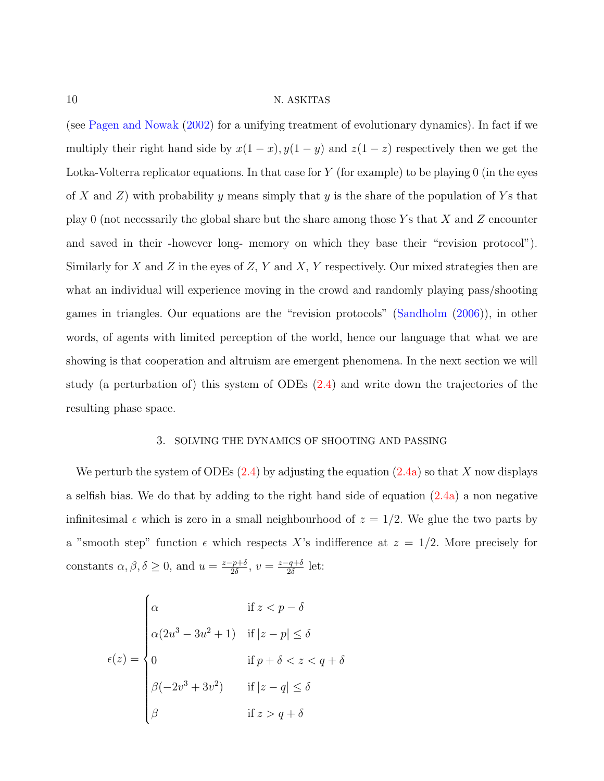(see [Pagen and Nowak](#page-19-6) [\(2002\)](#page-19-6) for a unifying treatment of evolutionary dynamics). In fact if we multiply their right hand side by  $x(1-x)$ ,  $y(1-y)$  and  $z(1-z)$  respectively then we get the Lotka-Volterra replicator equations. In that case for Y (for example) to be playing 0 (in the eyes of X and Z) with probability y means simply that y is the share of the population of Ys that play 0 (not necessarily the global share but the share among those  $Y_s$  that  $X$  and  $Z$  encounter and saved in their -however long- memory on which they base their "revision protocol"). Similarly for X and Z in the eyes of Z, Y and X, Y respectively. Our mixed strategies then are what an individual will experience moving in the crowd and randomly playing pass/shooting games in triangles. Our equations are the "revision protocols" [\(Sandholm](#page-19-15) [\(2006\)](#page-19-15)), in other words, of agents with limited perception of the world, hence our language that what we are showing is that cooperation and altruism are emergent phenomena. In the next section we will study (a perturbation of) this system of ODEs [\(2.4\)](#page-11-1) and write down the trajectories of the resulting phase space.

#### 3. SOLVING THE DYNAMICS OF SHOOTING AND PASSING

<span id="page-12-0"></span>We perturb the system of ODEs  $(2.4)$  by adjusting the equation  $(2.4a)$  so that X now displays a selfish bias. We do that by adding to the right hand side of equation  $(2.4a)$  a non negative infinitesimal  $\epsilon$  which is zero in a small neighbourhood of  $z = 1/2$ . We glue the two parts by a "smooth step" function  $\epsilon$  which respects X's indifference at  $z = 1/2$ . More precisely for constants  $\alpha, \beta, \delta \geq 0$ , and  $u = \frac{z-p+\delta}{2\delta}$  $\frac{p+\delta}{2\delta}, v = \frac{z-q+\delta}{2\delta}$  $\frac{-q+\delta}{2\delta}$  let:

$$
\epsilon(z) = \begin{cases}\n\alpha & \text{if } z < p - \delta \\
\alpha(2u^3 - 3u^2 + 1) & \text{if } |z - p| \le \delta \\
0 & \text{if } p + \delta < z < q + \delta \\
\beta(-2v^3 + 3v^2) & \text{if } |z - q| \le \delta \\
\beta & \text{if } z > q + \delta\n\end{cases}
$$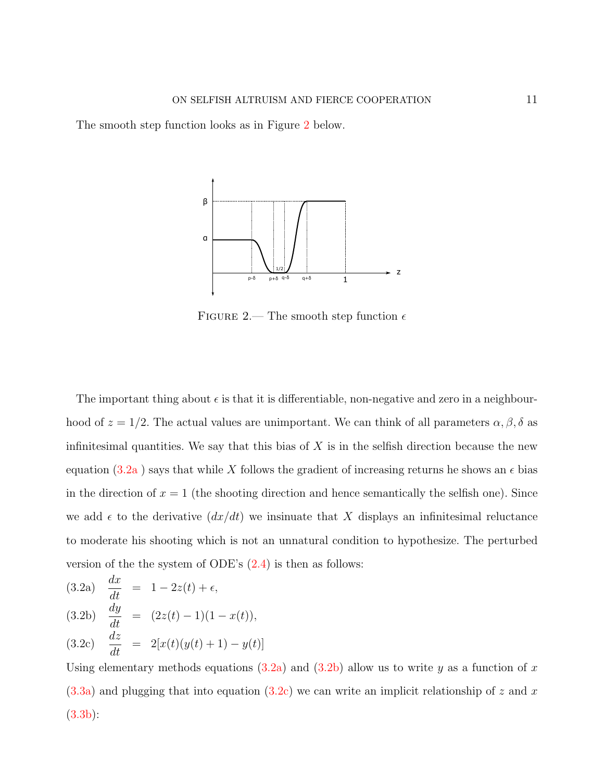The smooth step function looks as in Figure [2](#page-13-0) below.



<span id="page-13-2"></span><span id="page-13-0"></span>FIGURE 2.— The smooth step function  $\epsilon$ 

The important thing about  $\epsilon$  is that it is differentiable, non-negative and zero in a neighbourhood of  $z = 1/2$ . The actual values are unimportant. We can think of all parameters  $\alpha, \beta, \delta$  as infinitesimal quantities. We say that this bias of  $X$  is in the selfish direction because the new equation [\(3.2a](#page-13-1)) says that while X follows the gradient of increasing returns he shows an  $\epsilon$  bias in the direction of  $x = 1$  (the shooting direction and hence semantically the selfish one). Since we add  $\epsilon$  to the derivative  $(dx/dt)$  we insinuate that X displays an infinitesimal reluctance to moderate his shooting which is not an unnatural condition to hypothesize. The perturbed version of the the system of ODE's [\(2.4\)](#page-11-1) is then as follows:

<span id="page-13-1"></span>(3.2a) 
$$
\frac{dx}{dt} = 1 - 2z(t) + \epsilon,
$$
  
\n(3.2b)  $\frac{dy}{dt} = (2z(t) - 1)(1 - x(t)),$   
\n(3.2c)  $\frac{dz}{dt} = 2[x(t)(y(t) + 1) - y(t)]$ 

Using elementary methods equations  $(3.2a)$  and  $(3.2b)$  allow us to write y as a function of x  $(3.3a)$  and plugging that into equation  $(3.2c)$  we can write an implicit relationship of z and x [\(3.3b\)](#page-14-0):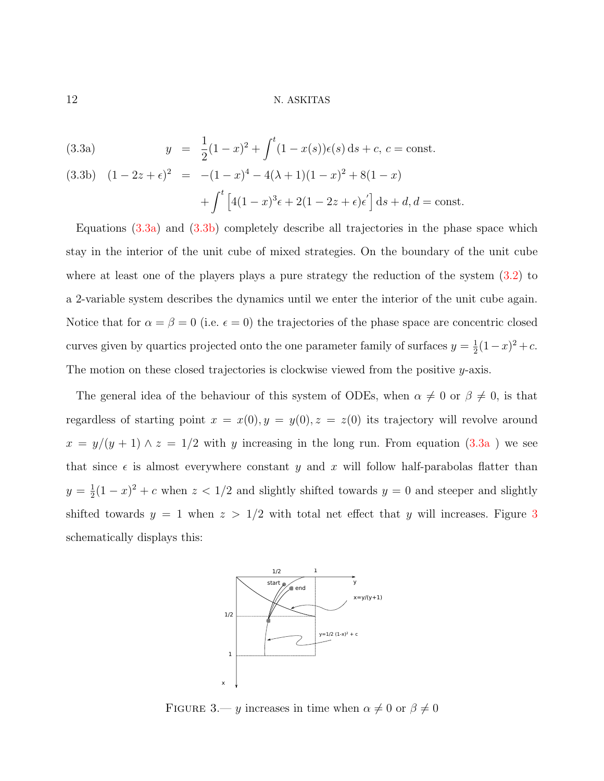<span id="page-14-0"></span>(3.3a) 
$$
y = \frac{1}{2}(1-x)^2 + \int^t (1-x(s))\epsilon(s) ds + c, c = \text{const.}
$$

(3.3b) 
$$
(1 - 2z + \epsilon)^2 = -(1 - x)^4 - 4(\lambda + 1)(1 - x)^2 + 8(1 - x) + \int^t [4(1 - x)^3 \epsilon + 2(1 - 2z + \epsilon) \epsilon'] ds + d, d = \text{const.}
$$

Equations [\(3.3a\)](#page-14-0) and [\(3.3b\)](#page-14-0) completely describe all trajectories in the phase space which stay in the interior of the unit cube of mixed strategies. On the boundary of the unit cube where at least one of the players plays a pure strategy the reduction of the system  $(3.2)$  to a 2-variable system describes the dynamics until we enter the interior of the unit cube again. Notice that for  $\alpha = \beta = 0$  (i.e.  $\epsilon = 0$ ) the trajectories of the phase space are concentric closed curves given by quartics projected onto the one parameter family of surfaces  $y = \frac{1}{2}$  $\frac{1}{2}(1-x)^2 + c.$ The motion on these closed trajectories is clockwise viewed from the positive y-axis.

The general idea of the behaviour of this system of ODEs, when  $\alpha \neq 0$  or  $\beta \neq 0$ , is that regardless of starting point  $x = x(0), y = y(0), z = z(0)$  its trajectory will revolve around  $x = y/(y + 1) \wedge z = 1/2$  with y increasing in the long run. From equation [\(3.3a](#page-14-0)) we see that since  $\epsilon$  is almost everywhere constant y and x will follow half-parabolas flatter than  $y=\frac{1}{2}$  $\frac{1}{2}(1-x)^2 + c$  when  $z < 1/2$  and slightly shifted towards  $y = 0$  and steeper and slightly shifted towards  $y = 1$  when  $z > 1/2$  with total net effect that y will increases. Figure [3](#page-14-1) schematically displays this:



<span id="page-14-1"></span>FIGURE 3.— y increases in time when  $\alpha \neq 0$  or  $\beta \neq 0$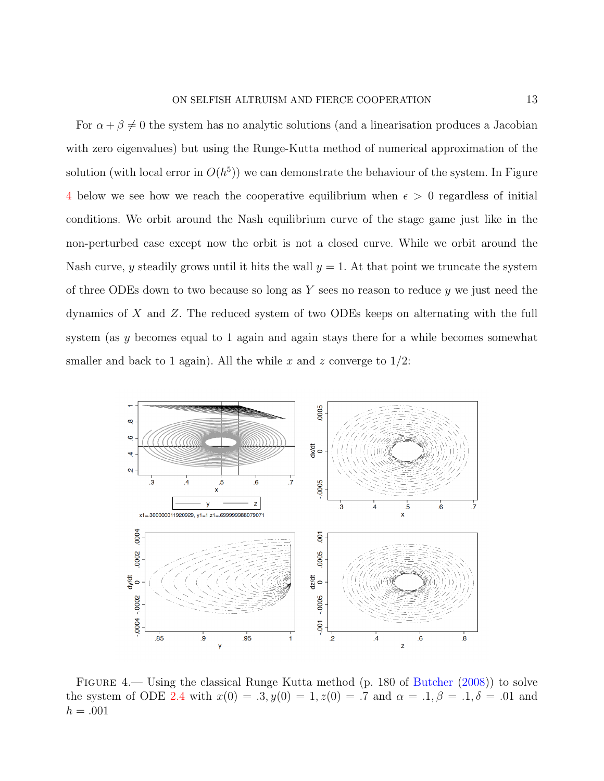For  $\alpha + \beta \neq 0$  the system has no analytic solutions (and a linearisation produces a Jacobian with zero eigenvalues) but using the Runge-Kutta method of numerical approximation of the solution (with local error in  $O(h^5)$ ) we can demonstrate the behaviour of the system. In Figure [4](#page-15-0) below we see how we reach the cooperative equilibrium when  $\epsilon > 0$  regardless of initial conditions. We orbit around the Nash equilibrium curve of the stage game just like in the non-perturbed case except now the orbit is not a closed curve. While we orbit around the Nash curve, y steadily grows until it hits the wall  $y = 1$ . At that point we truncate the system of three ODEs down to two because so long as Y sees no reason to reduce  $y$  we just need the dynamics of X and Z. The reduced system of two ODEs keeps on alternating with the full system (as y becomes equal to 1 again and again stays there for a while becomes somewhat smaller and back to 1 again). All the while x and z converge to  $1/2$ :



<span id="page-15-0"></span>FIGURE 4.— Using the classical Runge Kutta method (p. 180 of [Butcher](#page-18-3) [\(2008\)](#page-18-3)) to solve the system of ODE [2.4](#page-11-1) with  $x(0) = .3, y(0) = 1, z(0) = .7$  and  $\alpha = .1, \beta = .1, \delta = .01$  and  $h = .001$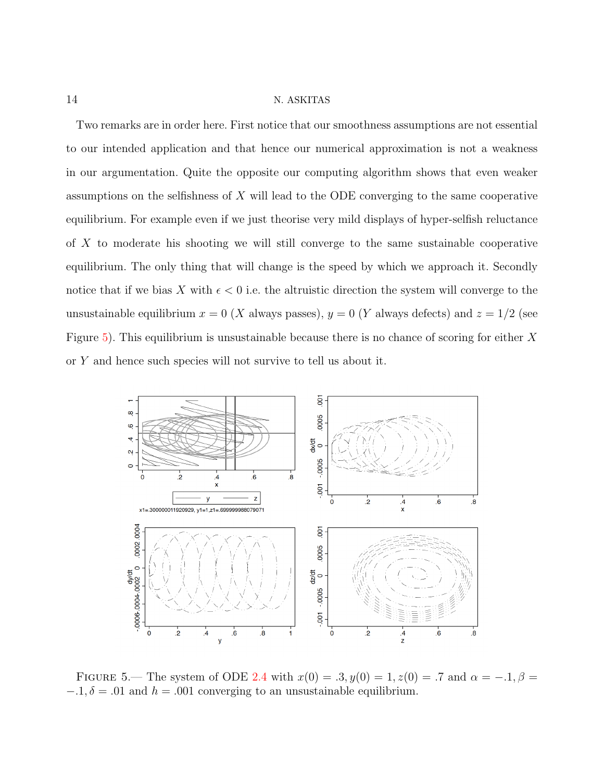Two remarks are in order here. First notice that our smoothness assumptions are not essential to our intended application and that hence our numerical approximation is not a weakness in our argumentation. Quite the opposite our computing algorithm shows that even weaker assumptions on the selfishness of  $X$  will lead to the ODE converging to the same cooperative equilibrium. For example even if we just theorise very mild displays of hyper-selfish reluctance of X to moderate his shooting we will still converge to the same sustainable cooperative equilibrium. The only thing that will change is the speed by which we approach it. Secondly notice that if we bias X with  $\epsilon < 0$  i.e. the altruistic direction the system will converge to the unsustainable equilibrium  $x = 0$  (X always passes),  $y = 0$  (Y always defects) and  $z = 1/2$  (see Figure [5\)](#page-16-0). This equilibrium is unsustainable because there is no chance of scoring for either  $X$ or Y and hence such species will not survive to tell us about it.



<span id="page-16-0"></span>FIGURE 5.— The system of ODE [2.4](#page-11-1) with  $x(0) = .3, y(0) = 1, z(0) = .7$  and  $\alpha = -.1, \beta =$  $-1, \delta = .01$  and  $h = .001$  converging to an unsustainable equilibrium.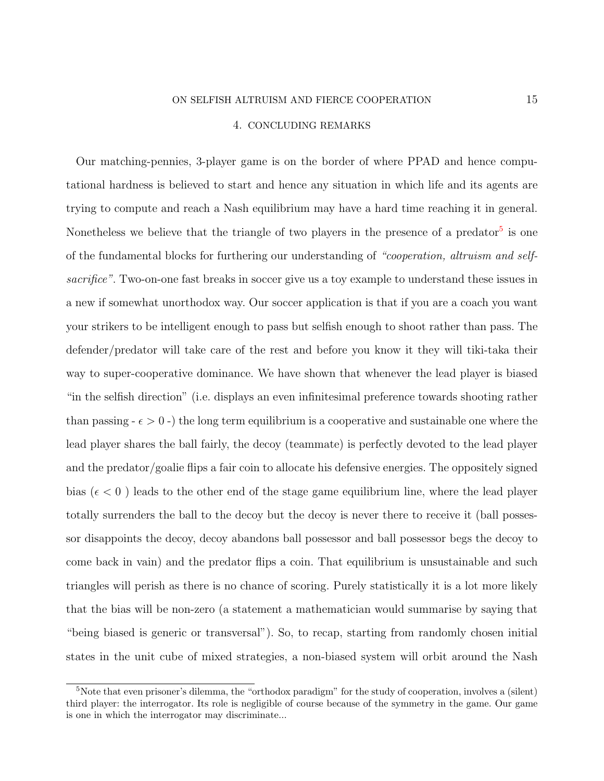#### 4. CONCLUDING REMARKS

Our matching-pennies, 3-player game is on the border of where PPAD and hence computational hardness is believed to start and hence any situation in which life and its agents are trying to compute and reach a Nash equilibrium may have a hard time reaching it in general. Nonetheless we believe that the triangle of two players in the presence of a predator<sup>[5](#page-17-0)</sup> is one of the fundamental blocks for furthering our understanding of "cooperation, altruism and selfsacrifice". Two-on-one fast breaks in soccer give us a toy example to understand these issues in a new if somewhat unorthodox way. Our soccer application is that if you are a coach you want your strikers to be intelligent enough to pass but selfish enough to shoot rather than pass. The defender/predator will take care of the rest and before you know it they will tiki-taka their way to super-cooperative dominance. We have shown that whenever the lead player is biased "in the selfish direction" (i.e. displays an even infinitesimal preference towards shooting rather than passing  $-\epsilon > 0$ .) the long term equilibrium is a cooperative and sustainable one where the lead player shares the ball fairly, the decoy (teammate) is perfectly devoted to the lead player and the predator/goalie flips a fair coin to allocate his defensive energies. The oppositely signed bias ( $\epsilon < 0$ ) leads to the other end of the stage game equilibrium line, where the lead player totally surrenders the ball to the decoy but the decoy is never there to receive it (ball possessor disappoints the decoy, decoy abandons ball possessor and ball possessor begs the decoy to come back in vain) and the predator flips a coin. That equilibrium is unsustainable and such triangles will perish as there is no chance of scoring. Purely statistically it is a lot more likely that the bias will be non-zero (a statement a mathematician would summarise by saying that "being biased is generic or transversal"). So, to recap, starting from randomly chosen initial states in the unit cube of mixed strategies, a non-biased system will orbit around the Nash

<span id="page-17-0"></span><sup>&</sup>lt;sup>5</sup>Note that even prisoner's dilemma, the "orthodox paradigm" for the study of cooperation, involves a (silent) third player: the interrogator. Its role is negligible of course because of the symmetry in the game. Our game is one in which the interrogator may discriminate...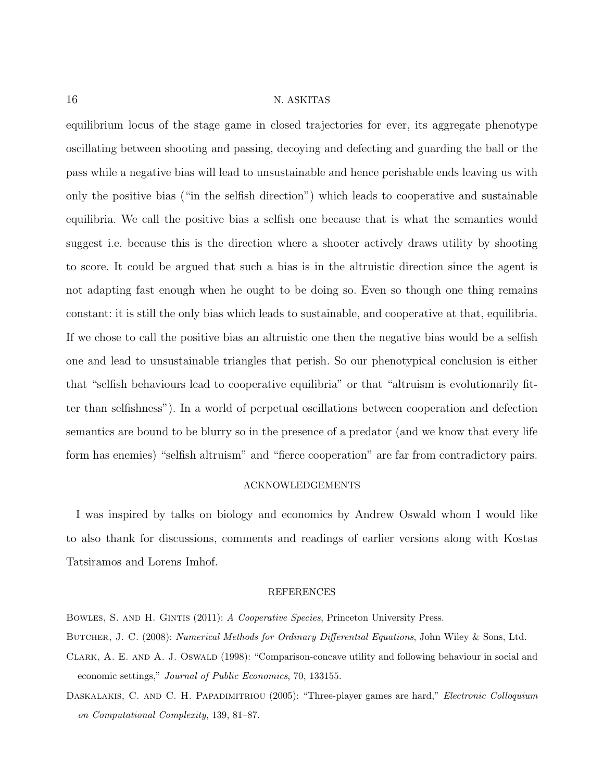equilibrium locus of the stage game in closed trajectories for ever, its aggregate phenotype oscillating between shooting and passing, decoying and defecting and guarding the ball or the pass while a negative bias will lead to unsustainable and hence perishable ends leaving us with only the positive bias ("in the selfish direction") which leads to cooperative and sustainable equilibria. We call the positive bias a selfish one because that is what the semantics would suggest i.e. because this is the direction where a shooter actively draws utility by shooting to score. It could be argued that such a bias is in the altruistic direction since the agent is not adapting fast enough when he ought to be doing so. Even so though one thing remains constant: it is still the only bias which leads to sustainable, and cooperative at that, equilibria. If we chose to call the positive bias an altruistic one then the negative bias would be a selfish one and lead to unsustainable triangles that perish. So our phenotypical conclusion is either that "selfish behaviours lead to cooperative equilibria" or that "altruism is evolutionarily fitter than selfishness"). In a world of perpetual oscillations between cooperation and defection semantics are bound to be blurry so in the presence of a predator (and we know that every life form has enemies) "selfish altruism" and "fierce cooperation" are far from contradictory pairs.

#### ACKNOWLEDGEMENTS

I was inspired by talks on biology and economics by Andrew Oswald whom I would like to also thank for discussions, comments and readings of earlier versions along with Kostas Tatsiramos and Lorens Imhof.

#### REFERENCES

- <span id="page-18-3"></span><span id="page-18-0"></span>BOWLES, S. AND H. GINTIS (2011): A Cooperative Species, Princeton University Press.
- <span id="page-18-1"></span>BUTCHER, J. C. (2008): *Numerical Methods for Ordinary Differential Equations*, John Wiley & Sons, Ltd.
- Clark, A. E. and A. J. Oswald (1998): "Comparison-concave utility and following behaviour in social and economic settings," Journal of Public Economics, 70, 133155.
- <span id="page-18-2"></span>DASKALAKIS, C. AND C. H. PAPADIMITRIOU (2005): "Three-player games are hard," Electronic Colloquium on Computational Complexity, 139, 81–87.